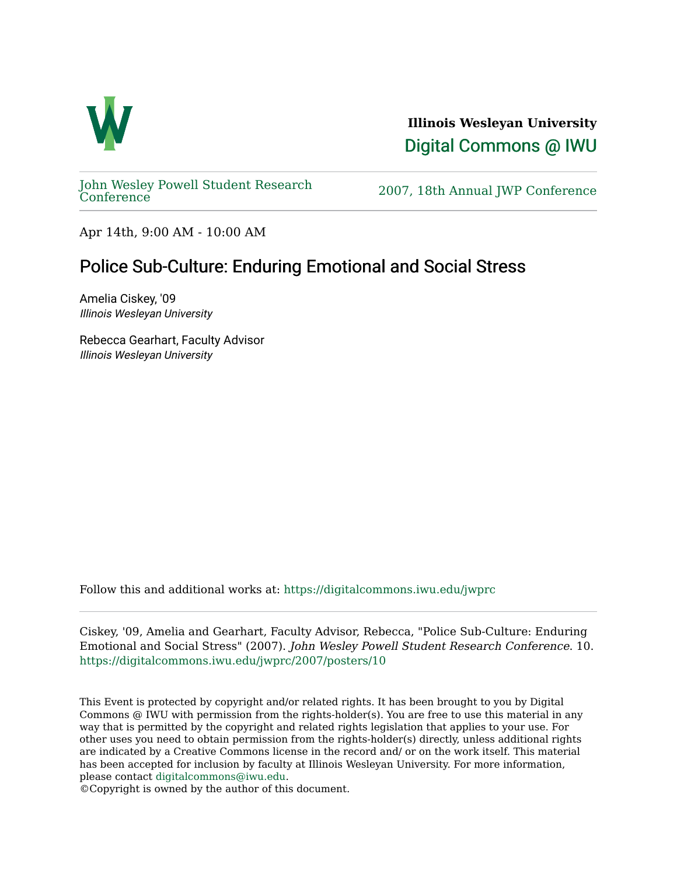

**Illinois Wesleyan University**  [Digital Commons @ IWU](https://digitalcommons.iwu.edu/) 

[John Wesley Powell Student Research](https://digitalcommons.iwu.edu/jwprc) 

2007, 18th Annual JWP [Conference](https://digitalcommons.iwu.edu/jwprc)

Apr 14th, 9:00 AM - 10:00 AM

## Police Sub-Culture: Enduring Emotional and Social Stress

Amelia Ciskey, '09 Illinois Wesleyan University

Rebecca Gearhart, Faculty Advisor Illinois Wesleyan University

Follow this and additional works at: [https://digitalcommons.iwu.edu/jwprc](https://digitalcommons.iwu.edu/jwprc?utm_source=digitalcommons.iwu.edu%2Fjwprc%2F2007%2Fposters%2F10&utm_medium=PDF&utm_campaign=PDFCoverPages) 

Ciskey, '09, Amelia and Gearhart, Faculty Advisor, Rebecca, "Police Sub-Culture: Enduring Emotional and Social Stress" (2007). John Wesley Powell Student Research Conference. 10. [https://digitalcommons.iwu.edu/jwprc/2007/posters/10](https://digitalcommons.iwu.edu/jwprc/2007/posters/10?utm_source=digitalcommons.iwu.edu%2Fjwprc%2F2007%2Fposters%2F10&utm_medium=PDF&utm_campaign=PDFCoverPages)

This Event is protected by copyright and/or related rights. It has been brought to you by Digital Commons @ IWU with permission from the rights-holder(s). You are free to use this material in any way that is permitted by the copyright and related rights legislation that applies to your use. For other uses you need to obtain permission from the rights-holder(s) directly, unless additional rights are indicated by a Creative Commons license in the record and/ or on the work itself. This material has been accepted for inclusion by faculty at Illinois Wesleyan University. For more information, please contact [digitalcommons@iwu.edu.](mailto:digitalcommons@iwu.edu)

©Copyright is owned by the author of this document.